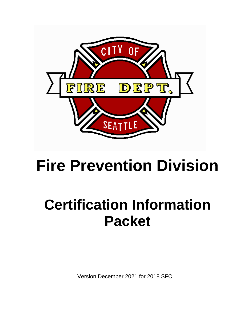

# **Fire Prevention Division**

# **Certification Information Packet**

Version December 2021 for 2018 SFC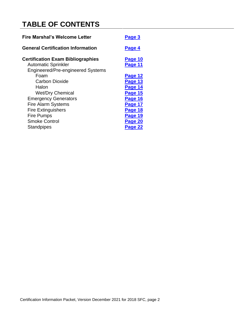# **TABLE OF CONTENTS**

| <b>Fire Marshal's Welcome Letter</b>     | Page 3  |  |
|------------------------------------------|---------|--|
| <b>General Certification Information</b> | Page 4  |  |
| <b>Certification Exam Bibliographies</b> | Page 10 |  |
| <b>Automatic Sprinkler</b>               | Page 11 |  |
| <b>Engineered/Pre-engineered Systems</b> |         |  |
| Foam                                     | Page 12 |  |
| Carbon Dioxide                           | Page 13 |  |
| Halon                                    | Page 14 |  |
| <b>Wet/Dry Chemical</b>                  | Page 15 |  |
| <b>Emergency Generators</b>              | Page 16 |  |
| <b>Fire Alarm Systems</b>                | Page 17 |  |
| <b>Fire Extinguishers</b>                | Page 18 |  |
| <b>Fire Pumps</b>                        | Page 19 |  |
| <b>Smoke Control</b>                     | Page 20 |  |
| <b>Standpipes</b>                        | Page 22 |  |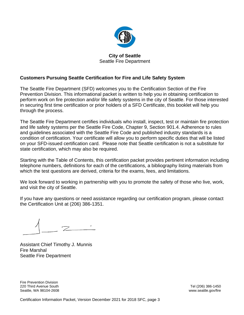

# **City of Seattle**  Seattle Fire Department

# <span id="page-2-0"></span>**Customers Pursuing Seattle Certification for Fire and Life Safety System**

The Seattle Fire Department (SFD) welcomes you to the Certification Section of the Fire Prevention Division. This informational packet is written to help you in obtaining certification to perform work on fire protection and/or life safety systems in the city of Seattle. For those interested in securing first time certification or prior holders of a SFD Certificate, this booklet will help you through the process.

The Seattle Fire Department certifies individuals who install, inspect, test or maintain fire protection and life safety systems per the Seattle Fire Code, Chapter 9, Section 901.4. Adherence to rules and guidelines associated with the Seattle Fire Code and published industry standards is a condition of certification. Your certificate will allow you to perform specific duties that will be listed on your SFD-issued certification card. Please note that Seattle certification is not a substitute for state certification, which may also be required.

Starting with the Table of Contents, this certification packet provides pertinent information including telephone numbers, definitions for each of the certifications, a bibliography listing materials from which the test questions are derived, criteria for the exams, fees, and limitations.

We look forward to working in partnership with you to promote the safety of those who live, work, and visit the city of Seattle.

If you have any questions or need assistance regarding our certification program, please contact the Certification Unit at (206) 386-1351.

Assistant Chief Timothy J. Munnis Fire Marshal Seattle Fire Department

Fire Prevention Division 220 Third Avenue South Tel (206) 386-1450 Seattle, WA 98104-2608 www.seattle.gov/fire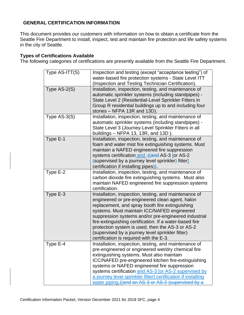# **GENERAL CERTIFICATION INFORMATION**

This document provides our customers with information on how to obtain a certificate from the Seattle Fire Department to install, inspect, test and maintain fire protection and life safety systems in the city of Seattle.

# **Types of Certifications Available**

The following categories of certifications are presently available from the Seattle Fire Department.

<span id="page-3-0"></span>

| Type AS-ITT(S) | Inspection and testing (except "acceptance testing") of<br>water-based fire protection systems - State Level ITT<br>(Inspection and Testing Technician Certification).                                                                                                                                                                                                                                                                                                           |
|----------------|----------------------------------------------------------------------------------------------------------------------------------------------------------------------------------------------------------------------------------------------------------------------------------------------------------------------------------------------------------------------------------------------------------------------------------------------------------------------------------|
| Type AS-2(S)   | Installation, inspection, testing, and maintenance of<br>automatic sprinkler systems (including standpipes) -<br>State Level 2 (Residential-Level Sprinkler Fitters in<br>Group R residential buildings up to and including four<br>stories - NFPA 13R and 13D).                                                                                                                                                                                                                 |
| Type $AS-3(S)$ | Installation, inspection, testing, and maintenance of<br>automatic sprinkler systems (including standpipes) -<br>State Level 3 (Journey-Level Sprinkler Fitters in all<br>buildings - NFPA 13, 13R, and 13D).                                                                                                                                                                                                                                                                    |
| Type E-1       | Installation, inspection, testing, and maintenance of<br>foam and water mist fire extinguishing systems. Must<br>maintain a NAFED engineered fire suppression<br>systems certification and ((and AS-3 [or AS-2<br>$\left\{$ supervised by a journey level sprinkler $\left\{$ fitter<br>certification if installing pipes).                                                                                                                                                      |
| Type E-2       | Installation, inspection, testing, and maintenance of<br>carbon dioxide fire extinguishing systems. Must also<br>maintain NAFED engineered fire suppression systems<br>certification.                                                                                                                                                                                                                                                                                            |
| Type E-3       | Installation, inspection, testing, and maintenance of<br>engineered or pre-engineered clean agent, halon<br>replacement, and spray booth fire extinguishing<br>systems. Must maintain ICC/NAFED engineered<br>suppression systems and/or pre-engineered industrial<br>fire-extinguishing certification. If a water-based fire<br>protection system is used, then the AS-3 or AS-2<br>(supervised by a journey level sprinkler fitter)<br>certification is required with the E-3. |
| Type E-4       | Installation, inspection, testing, and maintenance of<br>pre-engineered or engineered wet/dry chemical fire<br>extinguishing systems. Must also maintain<br>ICC/NAFED pre-engineered kitchen fire-extinguishing<br>systems or NAFED engineered fire suppression<br>systems certification and AS-3 [or AS-2 supervised by<br>a journey level sprinkler fitter] certification if installing<br>water piping. ((and an AS-3 or AS-2 (supervised by a                                |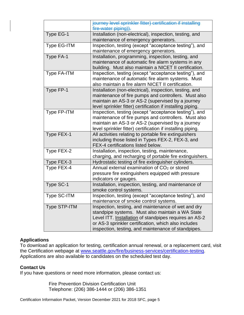|                     | journey level sprinkler fitter) certification if installing<br>fire-water piping)).                                                                                                                                                                                              |
|---------------------|----------------------------------------------------------------------------------------------------------------------------------------------------------------------------------------------------------------------------------------------------------------------------------|
| Type EG-1           | Installation (non-electrical), inspection, testing, and<br>maintenance of emergency generators.                                                                                                                                                                                  |
| Type EG-ITM         | Inspection, testing (except "acceptance testing"), and<br>maintenance of emergency generators.                                                                                                                                                                                   |
| Type FA-1           | Installation, programming, inspection, testing, and<br>maintenance of automatic fire alarm systems in any<br>building. Must also maintain a NICET II certification.                                                                                                              |
| Type FA-ITM         | Inspection, testing (except "acceptance testing"), and<br>maintenance of automatic fire alarm systems. Must<br>also maintain a fire alarm NICET II certification.                                                                                                                |
| Type FP-1           | Installation (non-electrical), inspection, testing, and<br>maintenance of fire pumps and controllers. Must also<br>maintain an AS-3 or AS-2 (supervised by a journey<br>level sprinkler fitter) certification if installing piping.                                              |
| Type FP-ITM         | Inspection, testing (except "acceptance testing"), and<br>maintenance of fire pumps and controllers. Must also<br>maintain an AS-3 or AS-2 (supervised by a journey<br>level sprinkler fitter) certification if installing piping.                                               |
| Type FEX-1          | All activities relating to portable fire extinguishers<br>including those listed in Types FEX-2, FEX-3, and<br>FEX-4 certifications listed below.                                                                                                                                |
| Type FEX-2          | Installation, inspection, testing, maintenance,<br>charging, and recharging of portable fire extinguishers.                                                                                                                                                                      |
| Type FEX-3          | Hydrostatic testing of fire extinguisher cylinders.                                                                                                                                                                                                                              |
| Type FEX-4          | Annual external examination of CO <sub>2</sub> or stored<br>pressure fire extinguishers equipped with pressure<br>indicators or gauges.                                                                                                                                          |
| Type SC-1           | Installation, inspection, testing, and maintenance of<br>smoke control systems.                                                                                                                                                                                                  |
| Type SC-ITM         | Inspection, testing (except "acceptance testing"), and<br>maintenance of smoke control systems.                                                                                                                                                                                  |
| <b>Type STP-ITM</b> | Inspection, testing, and maintenance of wet and dry<br>standpipe systems. Must also maintain a WA State<br>Level ITT. Installation of standpipes requires an AS-2<br>or AS-3 sprinkler certification, which also includes<br>inspection, testing, and maintenance of standpipes. |

# **Applications**

To download an application for testing, certification annual renewal, or a replacement card, visit the Certification webpage at [www.seattle.gov/fire/business-services/certification-testing.](http://www.seattle.gov/fire/business-services/certification-testing) Applications are also available to candidates on the scheduled test day.

# **Contact Us**

If you have questions or need more information, please contact us:

Fire Prevention Division Certification Unit Telephone: (206) 386-1444 or (206) 386-1351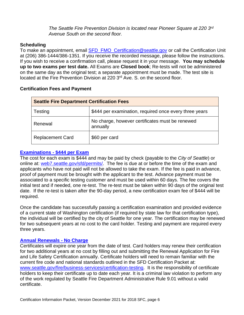*The Seattle Fire Prevention Division is located near Pioneer Square at 220 3 rd Avenue South on the second floor.*

#### **Scheduling**

To make an appointment, email **SFD\_FMO\_Certification@seattle.gov** or call the Certification Unit at (206) 386-1444/386-1351. If you receive the recorded message, please follow the instructions. If you wish to receive a confirmation call, please request it in your message. **You may schedule up to two exams per test date.** All Exams are **Closed book**; Re-tests will not be administered on the same day as the original test; a separate appointment must be made. The test site is located at the Fire Prevention Division at 220 3<sup>rd</sup> Ave. S. on the second floor.

| <b>Seattle Fire Department Certification Fees</b> |                                                             |  |
|---------------------------------------------------|-------------------------------------------------------------|--|
| Testing                                           | \$444 per examination, required once every three years      |  |
| Renewal                                           | No charge, however certificates must be renewed<br>annually |  |
| <b>Replacement Card</b>                           | \$60 per card                                               |  |

# **Certification Fees and Payment**

# **[Examinations -](http://www.seattle.gov/Documents/Departments/Fire/Business/Fire_And_Life_Safety_Certification_Exam_Application.pdf) \$444 per Exam**

The cost for each exam is \$444 and may be paid by check (payable to the *City of Seattle*) or online at: [web7.seattle.gov/sfd/permits/.](https://web7.seattle.gov/sfd/permits/) The fee is due at or before the time of the exam and applicants who have not paid will not be allowed to take the exam. If the fee is paid in advance, proof of payment must be brought with the applicant to the test. Advance payment must be associated to a specific testing customer and must be used within 60 days. The fee covers the initial test and if needed, one re-test. The re-test must be taken within 90 days of the original test date. If the re-test is taken after the 90-day period, a new certification exam fee of \$444 will be required.

Once the candidate has successfully passing a certification examination and provided evidence of a current state of Washington certification (if required by state law for that certification type), the individual will be certified by the city of Seattle for one year. The certification may be renewed for two subsequent years at no cost to the card holder. Testing and payment are required every three years.

# **[Annual Renewals -](http://www.seattle.gov/Documents/Departments/Fire/Business/Fire_And_Life_Safety_Certification_Renewal_Application.pdf) No Charge**

Certificates will expire one year from the date of test. Card holders may renew their certification for two additional years at no cost by filling out and submitting the Renewal Application for Fire and Life Safety Certification annually. Certificate holders will need to remain familiar with the current fire code and national standards outlined in the SFD Certification Packet at: [www.seattle.gov/fire/business-services/certification-testing.](http://www.seattle.gov/fire/business-services/certification-testing) It is the responsibility of certificate holders to keep their certificate up to date each year. It is a criminal law violation to perform any of the work regulated by Seattle Fire Department Administrative Rule 9.01 without a valid certificate.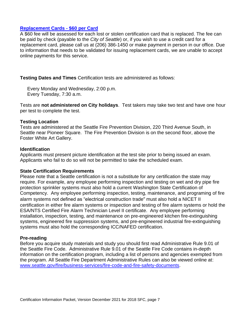# **[Replacement Cards -](http://www.seattle.gov/Documents/Departments/Fire/Business/Fire_And_Life_Safety_Certification_Replacement_Card.pdf) \$60 per Card**

A \$60 fee will be assessed for each lost or stolen certification card that is replaced. The fee can be paid by check (payable to the *City of Seattle*) or, if you wish to use a credit card for a replacement card, please call us at (206) 386-1450 or make payment in person in our office. Due to information that needs to be validated for issuing replacement cards, we are unable to accept online payments for this service.

**Testing Dates and Times** Certification tests are administered as follows:

Every Monday and Wednesday, 2:00 p.m. Every Tuesday, 7:30 a.m.

Tests are **not administered on City holidays**. Test takers may take two test and have one hour per test to complete the test.

# **Testing Location**

Tests are administered at the Seattle Fire Prevention Division, 220 Third Avenue South, in Seattle near Pioneer Square. The Fire Prevention Division is on the second floor, above the Foster White Art Gallery.

# **Identification**

Applicants must present picture identification at the test site prior to being issued an exam. Applicants who fail to do so will not be permitted to take the scheduled exam.

# **State Certification Requirements**

Please note that a Seattle certification is not a substitute for any certification the state may require. For example, any employee performing inspection and testing on wet and dry pipe fire protection sprinkler systems must also hold a current Washington State Certification of Competency. Any employee performing inspection, testing, maintenance, and programing of fire alarm systems not defined as "electrical construction trade" must also hold a NICET II certification in either fire alarm systems or inspection and testing of fire alarm systems or hold the ESA/NTS Certified Fire Alarm Technician Level II certificate. Any employee performing installation, inspection, testing, and maintenance on pre-engineered kitchen fire-extinguishing systems, engineered fire suppression systems, and pre-engineered industrial fire-extinguishing systems must also hold the corresponding ICC/NAFED certification.

# **Pre-reading**

Before you acquire study materials and study you should first read Administrative Rule 9.01 of the Seattle Fire Code. Administrative Rule 9.01 of the Seattle Fire Code contains in-depth information on the certification program, including a list of persons and agencies exempted from the program. All Seattle Fire Department Administrative Rules can also be viewed online at: [www.seattle.gov/fire/business-services/fire-code-and-fire-safety-documents.](http://www.seattle.gov/fire/business-services/fire-code-and-fire-safety-documents)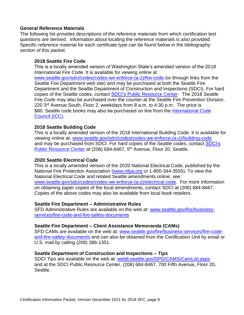#### **General Reference Materials**

The following list provides descriptions of the reference materials from which certification test questions are derived. Information about locating the reference materials is also provided. Specific reference material for each certificate type can be found below in the bibliography section of this packet.

#### **2018 Seattle Fire Code**

This is a locally amended version of Washington State's amended version of the 2018 International Fire Code. It is available for viewing online at [www.seattle.gov/sdci/codes/codes-we-enforce-\(a-z\)/fire-code](http://www.seattle.gov/sdci/codes/codes-we-enforce-(a-z)/fire-code) (or through links from the Seattle Fire Department web site) and may be purchased at both the Seattle Fire Department and the Seattle Department of Construction and Inspections (SDCI). For hard copies of the Seattle codes, contact [SDCI's Public Resource Center.](http://www.seattle.gov/dpd/aboutus/whoweare/publicresoursecenter/default.htm) The 2018 Seattle Fire Code may also be purchased over the counter at the Seattle Fire Prevention Division, 220 3rd Avenue South, Floor 2, weekdays from 8 a.m. to 4:30 p.m. The price is \$80. Seattle code books may also be purchased on line from the International Code [Council \(ICC\).](http://shop.iccsafe.org/state-and-local-codes/washington.html)

#### **2018 Seattle Building Code**

This is a locally amended version of the 2018 International Building Code. It is available for viewing online at: [www.seattle.gov/sdci/codes/codes-we-enforce-\(a-z\)/building-code](http://www.seattle.gov/sdci/codes/codes-we-enforce-(a-z)/building-code) and may be purchased from SDCI. For hard copies of the Seattle codes, contact [SDCI's](http://www.seattle.gov/dpd/aboutus/whoweare/publicresoursecenter/) [Public Resource Center](http://www.seattle.gov/dpd/aboutus/whoweare/publicresoursecenter/) at (206) 684-8467, 5<sup>th</sup> Avenue, Floor 20, Seattle.

#### **2020 Seattle Electrical Code**

This is a locally amended version of the 2020 National Electrical Code, published by the National Fire Protection Association [\(www.nfpa.org](http://www.nfpa.org/codes-and-standards/all-codes-and-standards/list-of-codes-and-standards) or 1-800-344-3555). To view the National Electrical Code and related Seattle amendments online, see: [www.seattle.gov/sdci/codes/codes-we-enforce-\(a-z\)/electrical-code.](http://www.seattle.gov/sdci/codes/codes-we-enforce-(a-z)/electrical-code) For more information on obtaining paper copies of the local amendments, contact SDCI at (206) 684-8467. Copies of the above codes may also be available from local book retailers.

#### **Seattle Fire Department – Administrative Rules**

SFD Administrative Rules are available on the web at: [www.seattle.gov/fire/business](http://www.seattle.gov/fire/business-services/fire-code-and-fire-safety-documents)[services/fire-code-and-fire-safety-documents](http://www.seattle.gov/fire/business-services/fire-code-and-fire-safety-documents)

# **Seattle Fire Department – Client Assistance Memoranda (CAMs)**

SFD CAMs are available on the web at: [www.seattle.gov/fire/business-services/fire-code](http://www.seattle.gov/fire/business-services/fire-code-and-fire-safety-documents)[and-fire-safety-documents](http://www.seattle.gov/fire/business-services/fire-code-and-fire-safety-documents) and can also be obtained from the Certification Unit by email or U.S. mail by calling (206) 386-1351.

#### **Seattle Department of Construction and Inspections – Tips**

SDCI Tips are available on the web at: [web6.seattle.gov/DPD/CAMS/CamList.aspx](http://web6.seattle.gov/DPD/CAMS/CamList.aspx) and at the SDCI Public Resource Center, (206) 684-8467, 700 Fifth Avenue, Floor 20, Seattle.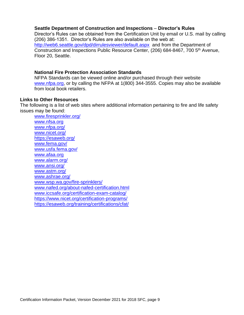#### **Seattle Department of Construction and Inspections** – **Director's Rules**

Director's Rules can be obtained from the Certification Unit by email or U.S. mail by calling (206) 386-1351. Director's Rules are also available on the web at: <http://web6.seattle.gov/dpd/dirrulesviewer/default.aspx>and from the Department of Construction and Inspections Public Resource Center, (206) 684-8467, 700 5<sup>th</sup> Avenue, Floor 20, Seattle.

#### **National Fire Protection Association Standards**

NFPA Standards can be viewed online and/or purchased through their website [www.nfpa.org,](http://www.nfpa.org/codes-and-standards/all-codes-and-standards/list-of-codes-and-standards) or by calling the NFPA at 1(800) 344-3555. Copies may also be available from local book retailers.

#### **Links to Other Resources**

The following is a list of web sites where additional information pertaining to fire and life safety issues may be found:

[www.firesprinkler.org/](http://www.firesprinkler.org/) [www.nfsa.org](http://www.nfsa.org/) [www.nfpa.org/](http://www.nfpa.org/) [www.nicet.org/](http://www.nicet.org/) <https://esaweb.org/> [www.fema.gov/](http://www.fema.gov/) [www.usfa.fema.gov/](http://www.usfa.fema.gov/) [www.afaa.org](http://www.afaa.org/) [www.alarm.org/](http://www.alarm.org/) www.ansi.org/ [www.astm.org/](http://www.astm.org/) [www.ashrae.org/](http://www.ashrae.org/) [www.wsp.wa.gov/fire-sprinklers/](http://www.wsp.wa.gov/fire-sprinklers/) [www.nafed.org/about-nafed-certification.html](http://www.nafed.org/about-nafed-certification.html) [www.iccsafe.org/certification-exam-catalog/](http://www.iccsafe.org/certification-exam-catalog/) <https://www.nicet.org/certification-programs/> <https://esaweb.org/training/certifications/cfat/>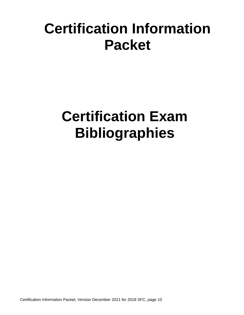# <span id="page-9-0"></span>**Certification Information Packet**

# **Certification Exam Bibliographies**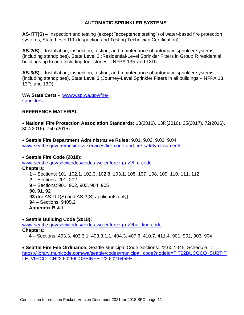<span id="page-10-0"></span>**AS-ITT(S)** – Inspection and testing (except "acceptance testing") of water-based fire protection systems, State Level ITT (Inspection and Testing Technician Certification).

**AS-2(S)** – Installation, inspection, testing, and maintenance of automatic sprinkler systems (including standpipes), State Level 2 (Residential-Level Sprinkler Fitters in Group R residential buildings up to and including four stories – NFPA 13R and 13D).

**AS-3(S)** – Installation, inspection, testing, and maintenance of automatic sprinkler systems (including standpipes), State Level 3 (Journey-Level Sprinkler Fitters in all buildings – NFPA 13, 13R, and 13D).

**WA State Certs -** [www.wsp.wa.gov/fire](http://www.wsp.wa.gov/fire-sprinklers)[sprinklers](http://www.wsp.wa.gov/fire-sprinklers)

# **REFERENCE MATERIAL**

• **National Fire Protection Association Standards:** 13(2016), 13R(2016), 25(2017), 72(2016), 307(2016), 750 (2015)

• **Seattle Fire Department Administrative Rules:** 9.01, 9.02, 9.03, 9.04 [www.seattle.gov/fire/business-services/fire-code-and-fire-safety-documents](http://www.seattle.gov/fire/business-services/fire-code-and-fire-safety-documents)

#### • **Seattle Fire Code (2018):**

www.seattle.gov/sdci/codes/codes-we-enforce-(a-z)/fire-code **Chapters:**

**1** – Sections: 101, 102.1, 102.3, 102.8, 103.1, 105, 107, 108, 109, 110, 111, 112

**2** – Sections: 201, 202

**9** – Sections: 901, 902, 903, 904, 905 **90**, **91**, **92 93** (for AS-ITT(S) and AS-3(S) applicants only) **94** – Sections: 9405.2 **Appendix B & I**

• **Seattle Building Code (2018):**

[www.seattle.gov/sdci/codes/codes-we-enforce-\(a-z\)/building-code](http://www.seattle.gov/sdci/codes/codes-we-enforce-(a-z)/building-code)

# **Chapters:**

**4** – Sections: 403.3, 403.3.1, 403.3.1.1, 404.3, 407.6, 410.7, 411.4, 901, 902, 903, 904

• **Seattle Fire Fee Ordinance:** Seattle Municipal Code Sections: 22.602.045, Schedule L: [https://library.municode.com/wa/seattle/codes/municipal\\_code?nodeId=TIT22BUCOCO\\_SUBTIT](https://library.municode.com/wa/seattle/codes/municipal_code?nodeId=TIT22BUCOCO_SUBTITLE_VIFICO_CH22.602FICOPEINFE_22.602.045FE) [LE\\_VIFICO\\_CH22.602FICOPEINFE\\_22.602.045FE](https://library.municode.com/wa/seattle/codes/municipal_code?nodeId=TIT22BUCOCO_SUBTITLE_VIFICO_CH22.602FICOPEINFE_22.602.045FE)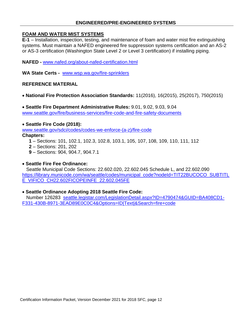# **ENGINEERED/PRE-ENGINEERED SYSTEMS**

#### <span id="page-11-0"></span>**FOAM AND WATER MIST SYSTEMS**

**E-1** – Installation, inspection, testing, and maintenance of foam and water mist fire extinguishing systems. Must maintain a NAFED engineered fire suppression systems certification and an AS-2 or AS-3 certification (Washington State Level 2 or Level 3 certification) if installing piping.

**NAFED -** [www.nafed.org/about-nafed-certification.html](http://www.nafed.org/about-nafed-certification.html)

**WA State Certs -** [www.wsp.wa.gov/fire-sprinklers](http://www.wsp.wa.gov/fire-sprinklers)

#### **REFERENCE MATERIAL**

• **National Fire Protection Association Standards:** 11(2016), 16(2015), 25(2017), 750(2015)

• **Seattle Fire Department Administrative Rules:** 9.01, 9.02, 9.03, 9.04 [www.seattle.gov/fire/business-services/fire-code-and-fire-safety-documents](http://www.seattle.gov/fire/business-services/fire-code-and-fire-safety-documents)

#### • **Seattle Fire Code (2018):**

www.seattle.gov/sdci/codes/codes-we-enforce-(a-z)/fire-code

**Chapters:**

- **1** Sections: 101, 102.1, 102.3, 102.8, 103.1, 105, 107, 108, 109, 110, 111, 112
- **2** Sections: 201, 202
- **9**  Sections: 904, 904.7, 904.7.1

#### • **Seattle Fire Fee Ordinance:**

 Seattle Municipal Code Sections: 22.602.020, 22.602.045 Schedule L, and 22.602.090 [https://library.municode.com/wa/seattle/codes/municipal\\_code?nodeId=TIT22BUCOCO\\_SUBTITL](https://library.municode.com/wa/seattle/codes/municipal_code?nodeId=TIT22BUCOCO_SUBTITLE_VIFICO_CH22.602FICOPEINFE_22.602.045FE) [E\\_VIFICO\\_CH22.602FICOPEINFE\\_22.602.045FE](https://library.municode.com/wa/seattle/codes/municipal_code?nodeId=TIT22BUCOCO_SUBTITLE_VIFICO_CH22.602FICOPEINFE_22.602.045FE) 

#### • **Seattle Ordinance Adopting 2018 Seattle Fire Code:**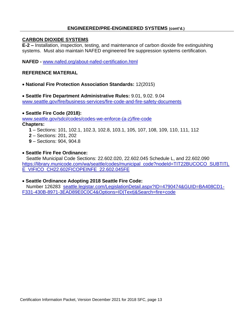# <span id="page-12-0"></span>**ENGINEERED/PRE-ENGINEERED SYSTEMS (cont'd.)**

#### **CARBON DIOXIDE SYSTEMS**

**E-2 –** Installation, inspection, testing, and maintenance of carbon dioxide fire extinguishing systems. Must also maintain NAFED engineered fire suppression systems certification.

**NAFED -** [www.nafed.org/about-nafed-certification.html](http://www.nafed.org/about-nafed-certification.html)

#### **REFERENCE MATERIAL**

- **National Fire Protection Association Standards:** 12(2015)
- **Seattle Fire Department Administrative Rules:** 9.01, 9.02. 9.04 [www.seattle.gov/fire/business-services/fire-code-and-fire-safety-documents](http://www.seattle.gov/fire/business-services/fire-code-and-fire-safety-documents)

#### • **Seattle Fire Code (2018):**

www.seattle.gov/sdci/codes/codes-we-enforce-(a-z)/fire-code

#### **Chapters:**

- **1** Sections: 101, 102.1, 102.3, 102.8, 103.1, 105, 107, 108, 109, 110, 111, 112
- **2** Sections: 201, 202
- **9**  Sections: 904, 904.8

#### • **Seattle Fire Fee Ordinance:**

 Seattle Municipal Code Sections: 22.602.020, 22.602.045 Schedule L, and 22.602.090 [https://library.municode.com/wa/seattle/codes/municipal\\_code?nodeId=TIT22BUCOCO\\_SUBTITL](https://library.municode.com/wa/seattle/codes/municipal_code?nodeId=TIT22BUCOCO_SUBTITLE_VIFICO_CH22.602FICOPEINFE_22.602.045FE) [E\\_VIFICO\\_CH22.602FICOPEINFE\\_22.602.045FE](https://library.municode.com/wa/seattle/codes/municipal_code?nodeId=TIT22BUCOCO_SUBTITLE_VIFICO_CH22.602FICOPEINFE_22.602.045FE)

#### • **Seattle Ordinance Adopting 2018 Seattle Fire Code:**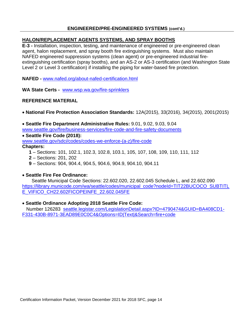# **ENGINEERED/PRE-ENGINEERED SYSTEMS (cont'd.)**

# <span id="page-13-0"></span>**HALON/REPLACEMENT AGENTS SYSTEMS, AND SPRAY BOOTHS**

**E-3 -** Installation, inspection, testing, and maintenance of engineered or pre-engineered clean agent, halon replacement, and spray booth fire extinguishing systems. Must also maintain NAFED engineered suppression systems (clean agent) or pre-engineered industrial fireextinguishing certification (spray booths), and an AS-2 or AS-3 certification (and Washington State Level 2 or Level 3 certification) if installing the piping for water-based fire protection.

**NAFED -** [www.nafed.org/about-nafed-certification.html](http://www.nafed.org/about-nafed-certification.html)

**WA State Certs -** [www.wsp.wa.gov/fire-sprinklers](http://www.wsp.wa.gov/fire-sprinklers)

# **REFERENCE MATERIAL**

• **National Fire Protection Association Standards:** 12A(2015), 33(2016), 34(2015), 2001(2015)

• **Seattle Fire Department Administrative Rules:** 9.01, 9.02, 9.03, 9.04 [www.seattle.gov/fire/business-services/fire-code-and-fire-safety-documents](http://www.seattle.gov/fire/business-services/fire-code-and-fire-safety-documents)

• **Seattle Fire Code (2018):** www.seattle.gov/sdci/codes/codes-we-enforce-(a-z)/fire-code

# **Chapters:**

- **1** Sections: 101, 102.1, 102.3, 102.8, 103.1, 105, 107, 108, 109, 110, 111, 112
- **2** Sections: 201, 202
- **9**  Sections: 904, 904.4, 904.5, 904.6, 904.9, 904.10, 904.11

# • **Seattle Fire Fee Ordinance:**

 Seattle Municipal Code Sections: 22.602.020, 22.602.045 Schedule L, and 22.602.090 [https://library.municode.com/wa/seattle/codes/municipal\\_code?nodeId=TIT22BUCOCO\\_SUBTITL](https://library.municode.com/wa/seattle/codes/municipal_code?nodeId=TIT22BUCOCO_SUBTITLE_VIFICO_CH22.602FICOPEINFE_22.602.045FE) [E\\_VIFICO\\_CH22.602FICOPEINFE\\_22.602.045FE](https://library.municode.com/wa/seattle/codes/municipal_code?nodeId=TIT22BUCOCO_SUBTITLE_VIFICO_CH22.602FICOPEINFE_22.602.045FE)

#### • **Seattle Ordinance Adopting 2018 Seattle Fire Code:**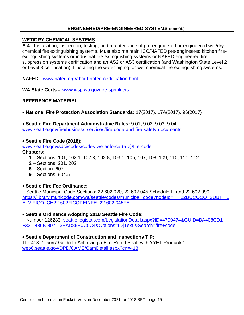# <span id="page-14-0"></span>**ENGINEERED/PRE-ENGINEERED SYSTEMS (cont'd.)**

#### **WET/DRY CHEMICAL SYSTEMS**

**E-4 -** Installation, inspection, testing, and maintenance of pre-engineered or engineered wet/dry chemical fire extinguishing systems. Must also maintain ICC/NAFED pre-engineered kitchen fireextinguishing systems or industrial fire extinguishing systems or NAFED engineered fire suppression systems certification and an AS2 or AS3 certification (and Washington State Level 2 or Level 3 certification) if installing the water piping for wet chemical fire extinguishing systems.

**NAFED -** [www.nafed.org/about-nafed-certification.html](http://www.nafed.org/about-nafed-certification.html)

**WA State Certs -** [www.wsp.wa.gov/fire-sprinklers](http://www.wsp.wa.gov/fire-sprinklers)

# **REFERENCE MATERIAL**

• **National Fire Protection Association Standards:** 17(2017), 17A(2017), 96(2017)

• **Seattle Fire Department Administrative Rules:** 9.01, 9.02. 9.03, 9.04 [www.seattle.gov/fire/business-services/fire-code-and-fire-safety-documents](http://www.seattle.gov/fire/business-services/fire-code-and-fire-safety-documents)

#### • **Seattle Fire Code (2018):**

www.seattle.gov/sdci/codes/codes-we-enforce-(a-z)/fire-code

#### **Chapters:**

- **1** Sections: 101, 102.1, 102.3, 102.8, 103.1, 105, 107, 108, 109, 110, 111, 112
- **2** Sections: 201, 202
- **6** Section: 607
- **9**  Sections: 904.5

#### • **Seattle Fire Fee Ordinance:**

 Seattle Municipal Code Sections: 22.602.020, 22.602.045 Schedule L, and 22.602.090 [https://library.municode.com/wa/seattle/codes/municipal\\_code?nodeId=TIT22BUCOCO\\_SUBTITL](https://library.municode.com/wa/seattle/codes/municipal_code?nodeId=TIT22BUCOCO_SUBTITLE_VIFICO_CH22.602FICOPEINFE_22.602.045FE) [E\\_VIFICO\\_CH22.602FICOPEINFE\\_22.602.045FE](https://library.municode.com/wa/seattle/codes/municipal_code?nodeId=TIT22BUCOCO_SUBTITLE_VIFICO_CH22.602FICOPEINFE_22.602.045FE)

# • **Seattle Ordinance Adopting 2018 Seattle Fire Code:**

 Number 126283 [seattle.legistar.com/LegislationDetail.aspx?ID=4790474&GUID=BA408CD1-](https://seattle.legistar.com/LegislationDetail.aspx?ID=4790474&GUID=BA408CD1-F331-430B-8971-3EAD89E0C0C4&Options=ID|Text|&Search=fire+code) [F331-430B-8971-3EAD89E0C0C4&Options=ID|Text|&Search=fire+code](https://seattle.legistar.com/LegislationDetail.aspx?ID=4790474&GUID=BA408CD1-F331-430B-8971-3EAD89E0C0C4&Options=ID|Text|&Search=fire+code)

# • **Seattle Department of Construction and Inspections TIP:**

TIP 418: "Users' Guide to Achieving a Fire-Rated Shaft with YYET Products". [web6.seattle.gov/DPD/CAMS/CamDetail.aspx?cn=418](http://web6.seattle.gov/DPD/CAMS/CamDetail.aspx?cn=418)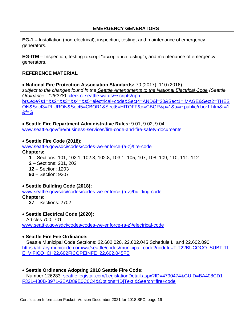<span id="page-15-0"></span>**EG-1 –** Installation (non-electrical), inspection, testing, and maintenance of emergency generators.

**EG-ITM** – Inspection, testing (except "acceptance testing"), and maintenance of emergency generators.

# **REFERENCE MATERIAL**

• **National Fire Protection Association Standards:** 70 (2017), 110 (2016) *subject to the changes found in the Seattle Amendments to the National Electrical Code (Seattle Ordinance - 126278)* [clerk.ci.seattle.wa.us/~scripts/nph](http://clerk.ci.seattle.wa.us/~scripts/nph-brs.exe?s1=&s2=&s3=&s4=&s5=electrical+code&Sect4=AND&l=20&Sect1=IMAGE&Sect2=THESON&Sect3=PLURON&Sect5=CBOR1&Sect6=HITOFF&d=CBOR&p=1&u=/~public/cbor1.htm&r=1&f=G)[brs.exe?s1=&s2=&s3=&s4=&s5=electrical+code&Sect4=AND&l=20&Sect1=IMAGE&Sect2=THES](http://clerk.ci.seattle.wa.us/~scripts/nph-brs.exe?s1=&s2=&s3=&s4=&s5=electrical+code&Sect4=AND&l=20&Sect1=IMAGE&Sect2=THESON&Sect3=PLURON&Sect5=CBOR1&Sect6=HITOFF&d=CBOR&p=1&u=/~public/cbor1.htm&r=1&f=G) [ON&Sect3=PLURON&Sect5=CBOR1&Sect6=HITOFF&d=CBOR&p=1&u=/~public/cbor1.htm&r=1](http://clerk.ci.seattle.wa.us/~scripts/nph-brs.exe?s1=&s2=&s3=&s4=&s5=electrical+code&Sect4=AND&l=20&Sect1=IMAGE&Sect2=THESON&Sect3=PLURON&Sect5=CBOR1&Sect6=HITOFF&d=CBOR&p=1&u=/~public/cbor1.htm&r=1&f=G)  $&f=G$ 

• **Seattle Fire Department Administrative Rules:** 9.01, 9.02, 9.04 [www.seattle.gov/fire/business-services/fire-code-and-fire-safety-documents](http://www.seattle.gov/fire/business-services/fire-code-and-fire-safety-documents)

• **Seattle Fire Code (2018):**

www.seattle.gov/sdci/codes/codes-we-enforce-(a-z)/fire-code

# **Chapters:**

 – Sections: 101, 102.1, 102.3, 102.8, 103.1, 105, 107, 108, 109, 110, 111, 112 – Sections: 201, 202 – Section: 1203 – Section: 9307

# • **Seattle Building Code (2018):**

[www.seattle.gov/sdci/codes/codes-we-enforce-\(a-z\)/building-code](http://www.seattle.gov/sdci/codes/codes-we-enforce-(a-z)/building-code) **Chapters: 27** – Sections: 2702

# • **Seattle Electrical Code (2020):**

 Articles 700, 701 [www.seattle.gov/sdci/codes/codes-we-enforce-\(a-z\)/electrical-code](http://www.seattle.gov/sdci/codes/codes-we-enforce-(a-z)/electrical-code)

# • **Seattle Fire Fee Ordinance:**

 Seattle Municipal Code Sections: 22.602.020, 22.602.045 Schedule L, and 22.602.090 [https://library.municode.com/wa/seattle/codes/municipal\\_code?nodeId=TIT22BUCOCO\\_SUBTITL](https://library.municode.com/wa/seattle/codes/municipal_code?nodeId=TIT22BUCOCO_SUBTITLE_VIFICO_CH22.602FICOPEINFE_22.602.045FE) [E\\_VIFICO\\_CH22.602FICOPEINFE\\_22.602.045FE](https://library.municode.com/wa/seattle/codes/municipal_code?nodeId=TIT22BUCOCO_SUBTITLE_VIFICO_CH22.602FICOPEINFE_22.602.045FE)

• **Seattle Ordinance Adopting 2018 Seattle Fire Code:** Number 126283 [seattle.legistar.com/LegislationDetail.aspx?ID=4790474&GUID=BA408CD1-](https://seattle.legistar.com/LegislationDetail.aspx?ID=4790474&GUID=BA408CD1-F331-430B-8971-3EAD89E0C0C4&Options=ID|Text|&Search=fire+code) [F331-430B-8971-3EAD89E0C0C4&Options=ID|Text|&Search=fire+code](https://seattle.legistar.com/LegislationDetail.aspx?ID=4790474&GUID=BA408CD1-F331-430B-8971-3EAD89E0C0C4&Options=ID|Text|&Search=fire+code)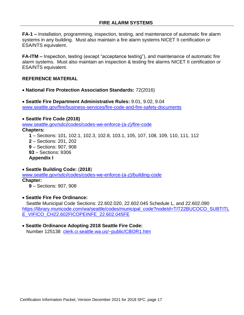<span id="page-16-0"></span>**FA-1 –** Installation, programming, inspection, testing, and maintenance of automatic fire alarm systems in any building. Must also maintain a fire alarm systems NICET II certification or ESA/NTS equivalent.

**FA-ITM** – Inspection, testing (except "acceptance testing"), and maintenance of automatic fire alarm systems. Must also maintain an inspection & testing fire alarms NICET II certification or ESA/NTS equivalent.

# **REFERENCE MATERIAL**

• **National Fire Protection Association Standards:** 72(2016)

• **Seattle Fire Department Administrative Rules:** 9.01, 9.02, 9.04 [www.seattle.gov/fire/business-services/fire-code-and-fire-safety-documents](http://www.seattle.gov/fire/business-services/fire-code-and-fire-safety-documents)

• **Seattle Fire Code (2018)**  www.seattle.gov/sdci/codes/codes-we-enforce-(a-z)/fire-code **Chapters:**

 – Sections: 101, 102.1, 102.3, 102.8, 103.1, 105, 107, 108, 109, 110, 111, 112 – Sections: 201, 202 – Sections: 907, 908 – Sections: 9306 **Appendix I**

• **Seattle Building Code:** (**2018**) [www.seattle.gov/sdci/codes/codes-we-enforce-\(a-z\)/building-code](http://www.seattle.gov/sdci/codes/codes-we-enforce-(a-z)/building-code) **Chapter:**

**9** – Sections: 907, 908

• **Seattle Fire Fee Ordinance:**

 Seattle Municipal Code Sections: 22.602.020, 22.602.045 Schedule L, and 22.602.090 [https://library.municode.com/wa/seattle/codes/municipal\\_code?nodeId=TIT22BUCOCO\\_SUBTITL](https://library.municode.com/wa/seattle/codes/municipal_code?nodeId=TIT22BUCOCO_SUBTITLE_VIFICO_CH22.602FICOPEINFE_22.602.045FE) [E\\_VIFICO\\_CH22.602FICOPEINFE\\_22.602.045FE](https://library.municode.com/wa/seattle/codes/municipal_code?nodeId=TIT22BUCOCO_SUBTITLE_VIFICO_CH22.602FICOPEINFE_22.602.045FE)

#### • **Seattle Ordinance Adopting 2018 Seattle Fire Code:** Number 125138 [clerk.ci.seattle.wa.us/~public/CBOR1.htm](http://clerk.ci.seattle.wa.us/~public/CBOR1.htm)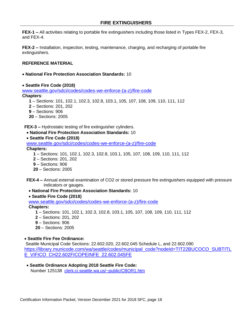<span id="page-17-0"></span>**FEX-1 –** All activities relating to portable fire extinguishers including those listed in Types FEX-2, FEX-3, and FEX-4.

**FEX-2 –** Installation, inspection, testing, maintenance, charging, and recharging of portable fire extinguishers.

#### **REFERENCE MATERIAL**

- **National Fire Protection Association Standards:** 10
- **Seattle Fire Code (2018)**

www.seattle.gov/sdci/codes/codes-we-enforce-(a-z)/fire-code

#### **Chapters**:

- **1** Sections: 101, 102.1, 102.3, 102.8, 103.1, 105, 107, 108, 109, 110, 111, 112
- **2** Sections: 201, 202
- **9**  Sections: 906
- **20** Sections: 2005

**FEX-3 –** Hydrostatic testing of fire extinguisher cylinders.

- **National Fire Protection Association Standards:** 10
- **Seattle Fire Code (2018)**

www.seattle.gov/sdci/codes/codes-we-enforce-(a-z)/fire-code

- **Chapters:**
	- **1** Sections: 101, 102.1, 102.3, 102.8, 103.1, 105, 107, 108, 109, 110, 111, 112
	- **2** Sections: 201, 202
	- **9** Sections: 906
	- **20**  Sections: 2005
- **FEX-4 –** Annual external examination of CO2 or stored pressure fire extinguishers equipped with pressure indicators or gauges.
- **National Fire Protection Association Standards:** 10

• **Seattle Fire Code (2018)** 

www.seattle.gov/sdci/codes/codes-we-enforce-(a-z)/fire-code **Chapters:**

- **1** Sections: 101, 102.1, 102.3, 102.8, 103.1, 105, 107, 108, 109, 110, 111, 112
- **2** Sections: 201, 202
- **9** Sections: 906
- **20**  Sections: 2005

#### • **Seattle Fire Fee Ordinance:**

Seattle Municipal Code Sections: 22.602.020, 22.602.045 Schedule L, and 22.602.090 [https://library.municode.com/wa/seattle/codes/municipal\\_code?nodeId=TIT22BUCOCO\\_SUBTITL](https://library.municode.com/wa/seattle/codes/municipal_code?nodeId=TIT22BUCOCO_SUBTITLE_VIFICO_CH22.602FICOPEINFE_22.602.045FE) [E\\_VIFICO\\_CH22.602FICOPEINFE\\_22.602.045FE](https://library.municode.com/wa/seattle/codes/municipal_code?nodeId=TIT22BUCOCO_SUBTITLE_VIFICO_CH22.602FICOPEINFE_22.602.045FE)

• **Seattle Ordinance Adopting 2018 Seattle Fire Code:** Number 125138 [clerk.ci.seattle.wa.us/~public/CBOR1.htm](http://clerk.ci.seattle.wa.us/~public/CBOR1.htm)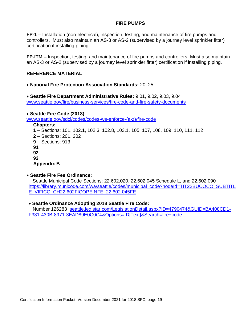**FP-1 –** Installation (non-electrical), inspection, testing, and maintenance of fire pumps and controllers. Must also maintain an AS-3 or AS-2 (supervised by a journey level sprinkler fitter) certification if installing piping.

**FP-ITM –** Inspection, testing, and maintenance of fire pumps and controllers. Must also maintain an AS-3 or AS-2 (supervised by a journey level sprinkler fitter) certification if installing piping.

#### **REFERENCE MATERIAL**

• **National Fire Protection Association Standards:** 20, 25

• **Seattle Fire Department Administrative Rules:** 9.01, 9.02, 9.03, 9.04 [www.seattle.gov/fire/business-services/fire-code-and-fire-safety-documents](http://www.seattle.gov/fire/business-services/fire-code-and-fire-safety-documents)

• **Seattle Fire Code (2018)** www.seattle.gov/sdci/codes/codes-we-enforce-(a-z)/fire-code **Chapters: 1** – Sections: 101, 102.1, 102.3, 102.8, 103.1, 105, 107, 108, 109, 110, 111, 112 **2** – Sections: 201, 202 **9** – Sections: 913 **91 92**

**93**

**Appendix B**

#### • **Seattle Fire Fee Ordinance:**

 Seattle Municipal Code Sections: 22.602.020, 22.602.045 Schedule L, and 22.602.090 [https://library.municode.com/wa/seattle/codes/municipal\\_code?nodeId=TIT22BUCOCO\\_SUBTITL](https://library.municode.com/wa/seattle/codes/municipal_code?nodeId=TIT22BUCOCO_SUBTITLE_VIFICO_CH22.602FICOPEINFE_22.602.045FE) [E\\_VIFICO\\_CH22.602FICOPEINFE\\_22.602.045FE](https://library.municode.com/wa/seattle/codes/municipal_code?nodeId=TIT22BUCOCO_SUBTITLE_VIFICO_CH22.602FICOPEINFE_22.602.045FE)

• **Seattle Ordinance Adopting 2018 Seattle Fire Code:**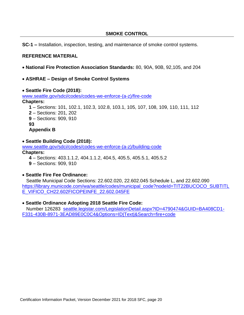<span id="page-19-0"></span>**SC-1 –** Installation, inspection, testing, and maintenance of smoke control systems.

# **REFERENCE MATERIAL**

- **National Fire Protection Association Standards:** 80, 90A, 90B, 92,105, and 204
- **ASHRAE – Design of Smoke Control Systems**
- **Seattle Fire Code (2018):**

www.seattle.gov/sdci/codes/codes-we-enforce-(a-z)/fire-code **Chapters: 1** – Sections: 101, 102.1, 102.3, 102.8, 103.1, 105, 107, 108, 109, 110, 111, 112 **2** – Sections: 201, 202 **9** – Sections: 909, 910 **93**

- **Appendix B**
- **Seattle Building Code (2018):**

[www.seattle.gov/sdci/codes/codes-we-enforce-\(a-z\)/building-code](http://www.seattle.gov/sdci/codes/codes-we-enforce-(a-z)/building-code)

#### **Chapters:**

- **4** Sections: 403.1.1.2, 404.1.1.2, 404.5, 405.5, 405.5.1, 405.5.2
- **9** Sections: 909, 910

# • **Seattle Fire Fee Ordinance:**

 Seattle Municipal Code Sections: 22.602.020, 22.602.045 Schedule L, and 22.602.090 [https://library.municode.com/wa/seattle/codes/municipal\\_code?nodeId=TIT22BUCOCO\\_SUBTITL](https://library.municode.com/wa/seattle/codes/municipal_code?nodeId=TIT22BUCOCO_SUBTITLE_VIFICO_CH22.602FICOPEINFE_22.602.045FE) [E\\_VIFICO\\_CH22.602FICOPEINFE\\_22.602.045FE](https://library.municode.com/wa/seattle/codes/municipal_code?nodeId=TIT22BUCOCO_SUBTITLE_VIFICO_CH22.602FICOPEINFE_22.602.045FE)

# • **Seattle Ordinance Adopting 2018 Seattle Fire Code:**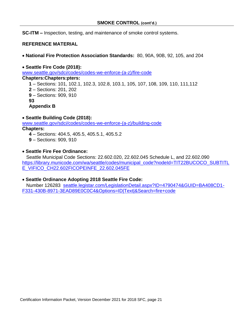**SC-ITM –** Inspection, testing, and maintenance of smoke control systems.

# **REFERENCE MATERIAL**

• **National Fire Protection Association Standards:** 80, 90A, 90B, 92, 105, and 204

• **Seattle Fire Code (2018):** [www.seattle.gov/sdci/codes/codes-we-enforce-\(a-z\)/fire-code](http://www.seattle.gov/sdci/codes/codes-we-enforce-(a-z)/fire-code) **Chapters:Chapters:pters:**

- **1** Sections: 101, 102.1, 102.3, 102.8, 103.1, 105, 107, 108, 109, 110, 111,112
- **2** Sections: 201, 202
- **9** Sections: 909, 910

**93**

**Appendix B**

# • **Seattle Building Code (2018):**

[www.seattle.gov/sdci/codes/codes-we-enforce-\(a-z\)/building-code](http://www.seattle.gov/sdci/codes/codes-we-enforce-(a-z)/building-code) **Chapters:**

- **4**  Sections: 404.5, 405.5, 405.5.1, 405.5.2
- **9** Sections: 909, 910
- **Seattle Fire Fee Ordinance:**

 Seattle Municipal Code Sections: 22.602.020, 22.602.045 Schedule L, and 22.602.090 [https://library.municode.com/wa/seattle/codes/municipal\\_code?nodeId=TIT22BUCOCO\\_SUBTITL](https://library.municode.com/wa/seattle/codes/municipal_code?nodeId=TIT22BUCOCO_SUBTITLE_VIFICO_CH22.602FICOPEINFE_22.602.045FE) [E\\_VIFICO\\_CH22.602FICOPEINFE\\_22.602.045FE](https://library.municode.com/wa/seattle/codes/municipal_code?nodeId=TIT22BUCOCO_SUBTITLE_VIFICO_CH22.602FICOPEINFE_22.602.045FE)

# • **Seattle Ordinance Adopting 2018 Seattle Fire Code:**